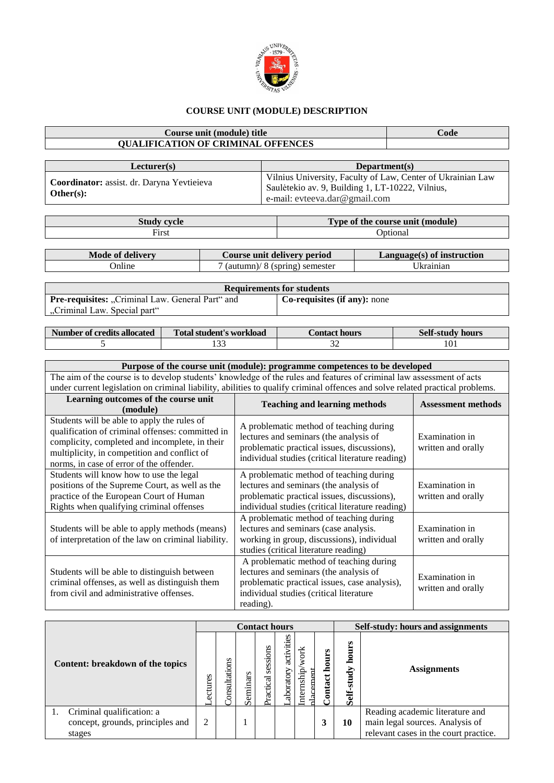

## **COURSE UNIT (MODULE) DESCRIPTION**

## **Course unit (module) title Code QUALIFICATION OF CRIMINAL OFFENCES**

| Lecturer(s)                                             | Department(s)                                                                                                                                    |
|---------------------------------------------------------|--------------------------------------------------------------------------------------------------------------------------------------------------|
| Coordinator: assist. dr. Daryna Yevtieieva<br>Other(s): | Vilnius University, Faculty of Law, Center of Ukrainian Law<br>Saulėtekio av. 9, Building 1, LT-10222, Vilnius,<br>e-mail: evteeva.dar@gmail.com |

|                                                           | <b>CONTRACTOR</b><br>(module)<br>t the course unit<br><b>vpe of</b> |
|-----------------------------------------------------------|---------------------------------------------------------------------|
| $\overline{\phantom{a}}$<br>∹ırst<br>$\sim$ $\sim$ $\sim$ | Jotiona                                                             |
|                                                           |                                                                     |

| Mode of delivery | Course unit delivery period        | Language(s) of instruction |
|------------------|------------------------------------|----------------------------|
| Jnline           | v<br>soring) semester<br>(autumn)/ |                            |
|                  |                                    |                            |

| <b>Requirements for students</b>                                                        |                              |  |  |  |  |  |  |  |
|-----------------------------------------------------------------------------------------|------------------------------|--|--|--|--|--|--|--|
| <b>Pre-requisites:</b> "Criminal Law. General Part" and<br>"Criminal Law. Special part" | Co-requisites (if any): none |  |  |  |  |  |  |  |

| Number of credits allocated | Total student's workload | Contact hours. | Self-study hours |
|-----------------------------|--------------------------|----------------|------------------|
|                             |                          | سەر            | 101              |

## **Purpose of the course unit (module): programme competences to be developed** The aim of the course is to develop students' knowledge of the rules and features of criminal law assessment of acts under current legislation on criminal liability, abilities to qualify criminal offences and solve related practical problems.

| Learning outcomes of the course unit<br>(module)                                                                                                                                                                                              | <b>Teaching and learning methods</b>                                                                                                                                                       | <b>Assessment methods</b>            |
|-----------------------------------------------------------------------------------------------------------------------------------------------------------------------------------------------------------------------------------------------|--------------------------------------------------------------------------------------------------------------------------------------------------------------------------------------------|--------------------------------------|
| Students will be able to apply the rules of<br>qualification of criminal offenses: committed in<br>complicity, completed and incomplete, in their<br>multiplicity, in competition and conflict of<br>norms, in case of error of the offender. | A problematic method of teaching during<br>lectures and seminars (the analysis of<br>problematic practical issues, discussions),<br>individual studies (critical literature reading)       | Examination in<br>written and orally |
| Students will know how to use the legal<br>positions of the Supreme Court, as well as the<br>practice of the European Court of Human<br>Rights when qualifying criminal offenses                                                              | A problematic method of teaching during<br>lectures and seminars (the analysis of<br>problematic practical issues, discussions),<br>individual studies (critical literature reading)       | Examination in<br>written and orally |
| Students will be able to apply methods (means)<br>of interpretation of the law on criminal liability.                                                                                                                                         | A problematic method of teaching during<br>lectures and seminars (case analysis.<br>working in group, discussions), individual<br>studies (critical literature reading)                    | Examination in<br>written and orally |
| Students will be able to distinguish between<br>criminal offenses, as well as distinguish them<br>from civil and administrative offenses.                                                                                                     | A problematic method of teaching during<br>lectures and seminars (the analysis of<br>problematic practical issues, case analysis),<br>individual studies (critical literature<br>reading). | Examination in<br>written and orally |

|                                  | <b>Contact hours</b> |               |              |                       |                              |                                   |                  | Self-study: hours and assignments |                                       |
|----------------------------------|----------------------|---------------|--------------|-----------------------|------------------------------|-----------------------------------|------------------|-----------------------------------|---------------------------------------|
| Content: breakdown of the topics | ectures              | consultations | eminars<br>Ō | sessions<br>Practical | ities<br>activi<br>aboratory | work<br>Internship<br>Я<br>nlacer | hours<br>Contact | w<br>Ë<br>۵<br>Ğ<br>믌<br>ŧ<br>Ō   | <b>Assignments</b>                    |
| Criminal qualification: a        |                      |               |              |                       |                              |                                   |                  |                                   | Reading academic literature and       |
| concept, grounds, principles and | 2                    |               |              |                       |                              |                                   |                  | 10                                | main legal sources. Analysis of       |
| stages                           |                      |               |              |                       |                              |                                   |                  |                                   | relevant cases in the court practice. |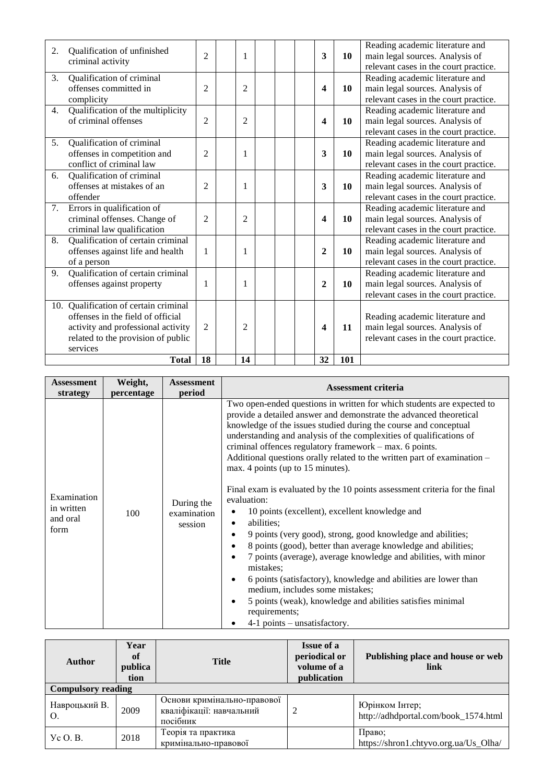| 2.             | Qualification of unfinished<br>criminal activity                                                                                                                   | $\overline{2}$ | 1              |  | $\overline{\mathbf{3}}$ | 10  | Reading academic literature and<br>main legal sources. Analysis of<br>relevant cases in the court practice. |
|----------------|--------------------------------------------------------------------------------------------------------------------------------------------------------------------|----------------|----------------|--|-------------------------|-----|-------------------------------------------------------------------------------------------------------------|
| 3.             | Qualification of criminal<br>offenses committed in<br>complicity                                                                                                   | 2              | $\overline{c}$ |  | $\overline{\mathbf{4}}$ | 10  | Reading academic literature and<br>main legal sources. Analysis of<br>relevant cases in the court practice. |
| 4.             | Qualification of the multiplicity<br>of criminal offenses                                                                                                          | 2              | $\overline{2}$ |  | 4                       | 10  | Reading academic literature and<br>main legal sources. Analysis of<br>relevant cases in the court practice. |
| 5 <sub>1</sub> | Qualification of criminal<br>offenses in competition and<br>conflict of criminal law                                                                               | 2              | 1              |  | 3                       | 10  | Reading academic literature and<br>main legal sources. Analysis of<br>relevant cases in the court practice. |
| 6.             | Qualification of criminal<br>offenses at mistakes of an<br>offender                                                                                                | 2              | 1              |  | 3                       | 10  | Reading academic literature and<br>main legal sources. Analysis of<br>relevant cases in the court practice. |
| 7.             | Errors in qualification of<br>criminal offenses. Change of<br>criminal law qualification                                                                           | 2              | 2              |  | 4                       | 10  | Reading academic literature and<br>main legal sources. Analysis of<br>relevant cases in the court practice. |
| 8.             | Qualification of certain criminal<br>offenses against life and health<br>of a person                                                                               | 1              | 1              |  | $\mathbf{2}$            | 10  | Reading academic literature and<br>main legal sources. Analysis of<br>relevant cases in the court practice. |
| 9.             | Qualification of certain criminal<br>offenses against property                                                                                                     | 1              | 1              |  | $\mathbf{2}$            | 10  | Reading academic literature and<br>main legal sources. Analysis of<br>relevant cases in the court practice. |
|                | 10. Qualification of certain criminal<br>offenses in the field of official<br>activity and professional activity<br>related to the provision of public<br>services | $\overline{2}$ | 2              |  | 4                       | 11  | Reading academic literature and<br>main legal sources. Analysis of<br>relevant cases in the court practice. |
|                | <b>Total</b>                                                                                                                                                       | 18             | 14             |  | 32                      | 101 |                                                                                                             |

| <b>Assessment</b>                             | Weight,    | <b>Assessment</b>                    | <b>Assessment criteria</b>                                                                                                                                                                                                                                                                                                                                                                                                                                                                                                                                                                                                                                                                                                                                                                                                                                                                                                                                                                                                                                                                                              |
|-----------------------------------------------|------------|--------------------------------------|-------------------------------------------------------------------------------------------------------------------------------------------------------------------------------------------------------------------------------------------------------------------------------------------------------------------------------------------------------------------------------------------------------------------------------------------------------------------------------------------------------------------------------------------------------------------------------------------------------------------------------------------------------------------------------------------------------------------------------------------------------------------------------------------------------------------------------------------------------------------------------------------------------------------------------------------------------------------------------------------------------------------------------------------------------------------------------------------------------------------------|
| strategy                                      | percentage | period                               |                                                                                                                                                                                                                                                                                                                                                                                                                                                                                                                                                                                                                                                                                                                                                                                                                                                                                                                                                                                                                                                                                                                         |
| Examination<br>in written<br>and oral<br>form | 100        | During the<br>examination<br>session | Two open-ended questions in written for which students are expected to<br>provide a detailed answer and demonstrate the advanced theoretical<br>knowledge of the issues studied during the course and conceptual<br>understanding and analysis of the complexities of qualifications of<br>criminal offences regulatory framework - max. 6 points.<br>Additional questions or ally related to the written part of examination –<br>max. 4 points (up to 15 minutes).<br>Final exam is evaluated by the 10 points assessment criteria for the final<br>evaluation:<br>10 points (excellent), excellent knowledge and<br>abilities;<br>٠<br>9 points (very good), strong, good knowledge and abilities;<br>$\bullet$<br>8 points (good), better than average knowledge and abilities;<br>$\bullet$<br>7 points (average), average knowledge and abilities, with minor<br>$\bullet$<br>mistakes;<br>6 points (satisfactory), knowledge and abilities are lower than<br>medium, includes some mistakes;<br>5 points (weak), knowledge and abilities satisfies minimal<br>٠<br>requirements;<br>4-1 points – unsatisfactory. |

| <b>Author</b>             | Year<br>of<br>publica<br>tion | <b>Title</b>                                                        | <b>Issue of a</b><br>periodical or<br>volume of a<br>publication | Publishing place and house or web<br>link              |
|---------------------------|-------------------------------|---------------------------------------------------------------------|------------------------------------------------------------------|--------------------------------------------------------|
| <b>Compulsory reading</b> |                               |                                                                     |                                                                  |                                                        |
| Навроцький В.             | 2009                          | Основи кримінально-правової<br>кваліфікації: навчальний<br>посібник |                                                                  | Юрінком Інтер;<br>http://adhdportal.com/book_1574.html |
| $y_c O. B.$               | 2018                          | Теорія та практика<br>кримінально-правової                          |                                                                  | Право;<br>https://shron1.chtyvo.org.ua/Us_Olha/        |